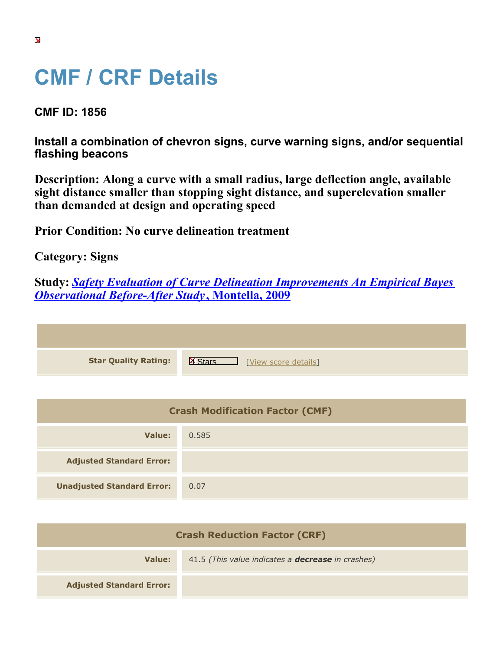## **CMF / CRF Details**

**CMF ID: 1856**

**Install a combination of chevron signs, curve warning signs, and/or sequential flashing beacons**

**Description: Along a curve with a small radius, large deflection angle, available sight distance smaller than stopping sight distance, and superelevation smaller than demanded at design and operating speed**

**Prior Condition: No curve delineation treatment**

**Category: Signs**

**Study:** *[Safety Evaluation of Curve Delineation Improvements An Empirical Bayes](https://cmfclearinghouse.org/study_detail.cfm?stid=102) [Observational Before-After Study](https://cmfclearinghouse.org/study_detail.cfm?stid=102)***[, Montella, 2009](https://cmfclearinghouse.org/study_detail.cfm?stid=102)**

| <b>Star Quality Rating:</b> | $ {\sf X} $<br>[View score details] |
|-----------------------------|-------------------------------------|

| <b>Crash Modification Factor (CMF)</b> |       |
|----------------------------------------|-------|
| Value:                                 | 0.585 |
| <b>Adjusted Standard Error:</b>        |       |
| <b>Unadjusted Standard Error:</b>      | 0.07  |

| <b>Crash Reduction Factor (CRF)</b> |                                                          |
|-------------------------------------|----------------------------------------------------------|
| Value:                              | 41.5 (This value indicates a <b>decrease</b> in crashes) |
| <b>Adjusted Standard Error:</b>     |                                                          |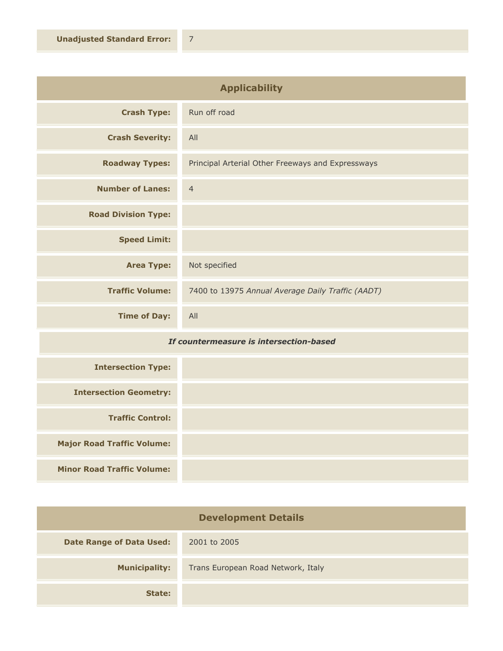| <b>Applicability</b>       |                                                   |
|----------------------------|---------------------------------------------------|
| <b>Crash Type:</b>         | Run off road                                      |
| <b>Crash Severity:</b>     | All                                               |
| <b>Roadway Types:</b>      | Principal Arterial Other Freeways and Expressways |
| <b>Number of Lanes:</b>    | $\overline{4}$                                    |
| <b>Road Division Type:</b> |                                                   |
| <b>Speed Limit:</b>        |                                                   |
| <b>Area Type:</b>          | Not specified                                     |
| <b>Traffic Volume:</b>     | 7400 to 13975 Annual Average Daily Traffic (AADT) |
| <b>Time of Day:</b>        | All                                               |

## *If countermeasure is intersection-based*

| <b>Intersection Type:</b>         |  |
|-----------------------------------|--|
| <b>Intersection Geometry:</b>     |  |
| <b>Traffic Control:</b>           |  |
| <b>Major Road Traffic Volume:</b> |  |
| <b>Minor Road Traffic Volume:</b> |  |

| <b>Development Details</b>      |                                    |
|---------------------------------|------------------------------------|
| <b>Date Range of Data Used:</b> | 2001 to 2005                       |
| <b>Municipality:</b>            | Trans European Road Network, Italy |
| State:                          |                                    |